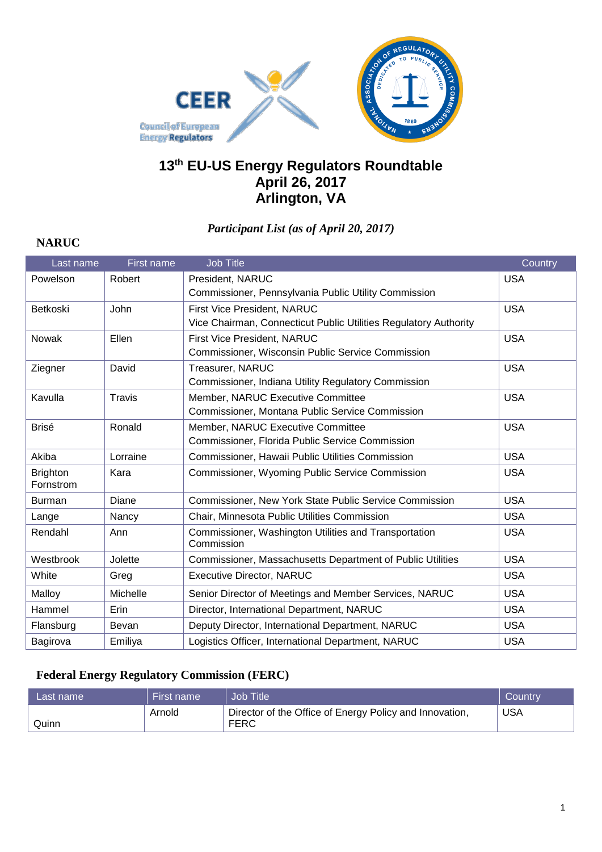

## **13 th EU-US Energy Regulators Roundtable April 26, 2017 Arlington, VA**

#### *Participant List (as of April 20, 2017)*

#### Last name First name Job Title Country Powelson Robert President, NARUC Commissioner, Pennsylvania Public Utility Commission USA Betkoski John First Vice President, NARUC Vice Chairman, Connecticut Public Utilities Regulatory Authority USA Nowak Ellen First Vice President, NARUC Commissioner, Wisconsin Public Service Commission USA Ziegner | David | Treasurer, NARUC Commissioner, Indiana Utility Regulatory Commission USA Kavulla Travis Member, NARUC Executive Committee Commissioner, Montana Public Service Commission USA Brisé Ronald Member, NARUC Executive Committee Commissioner, Florida Public Service Commission USA Akiba **Lorraine Commissioner, Hawaii Public Utilities Commission** | USA **Brighton** Fornstrom Kara Commissioner, Wyoming Public Service Commission CUSA Burman Diane Commissioner, New York State Public Service Commission USA Lange Nancy Chair, Minnesota Public Utilities Commission | USA Rendahl Ann Commissioner, Washington Utilities and Transportation Commission USA Westbrook Jolette Commissioner, Massachusetts Department of Public Utilities USA White Greg Executive Director, NARUC USA Malloy Michelle Senior Director of Meetings and Member Services, NARUC USA Hammel Erin Director, International Department, NARUC USA Flansburg Bevan Deputy Director, International Department, NARUC | USA Bagirova | Emiliya | Logistics Officer, International Department, NARUC | USA

#### **Federal Energy Regulatory Commission (FERC)**

**NARUC**

| Last name l | First name | Job Title                                                       | Country    |
|-------------|------------|-----------------------------------------------------------------|------------|
| Quinn       | Arnold     | Director of the Office of Energy Policy and Innovation,<br>FERC | <b>USA</b> |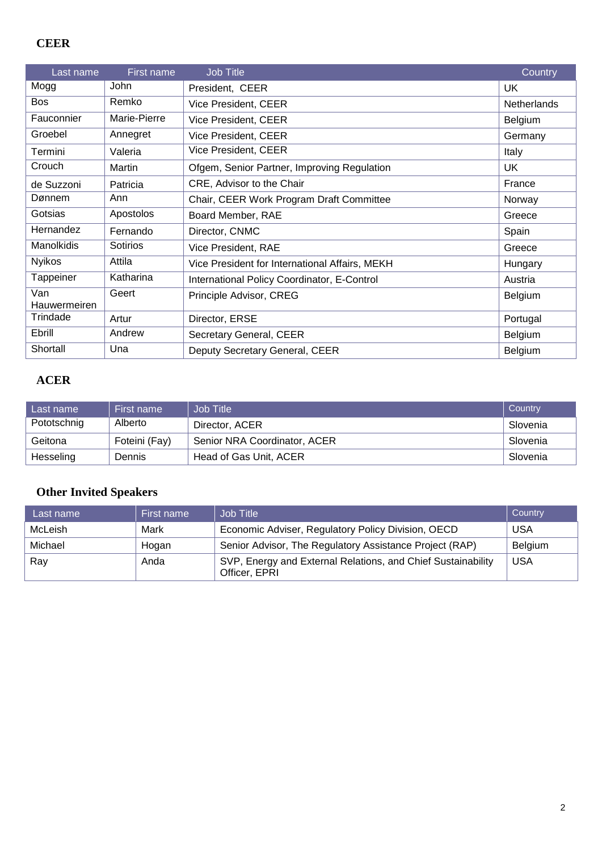## **CEER**

| Last name           | First name   | Job Title                                      | Country            |
|---------------------|--------------|------------------------------------------------|--------------------|
| Mogg                | John         | President, CEER                                | UK                 |
| <b>Bos</b>          | Remko        | Vice President, CEER                           | <b>Netherlands</b> |
| Fauconnier          | Marie-Pierre | Vice President, CEER                           | Belgium            |
| Groebel             | Annegret     | Vice President, CEER                           | Germany            |
| Termini             | Valeria      | Vice President, CEER                           | Italy              |
| Crouch              | Martin       | Ofgem, Senior Partner, Improving Regulation    | UK                 |
| de Suzzoni          | Patricia     | CRE, Advisor to the Chair                      | France             |
| Dønnem              | Ann          | Chair, CEER Work Program Draft Committee       | Norway             |
| Gotsias             | Apostolos    | Board Member, RAE                              | Greece             |
| Hernandez           | Fernando     | Director, CNMC                                 | Spain              |
| Manolkidis          | Sotirios     | Vice President, RAE                            | Greece             |
| <b>Nyikos</b>       | Attila       | Vice President for International Affairs, MEKH | Hungary            |
| Tappeiner           | Katharina    | International Policy Coordinator, E-Control    | Austria            |
| Van<br>Hauwermeiren | Geert        | Principle Advisor, CREG                        | Belgium            |
| Trindade            | Artur        | Director, ERSE                                 | Portugal           |
| Ebrill              | Andrew       | Secretary General, CEER                        | Belgium            |
| Shortall            | Una          | Deputy Secretary General, CEER                 | Belgium            |

#### **ACER**

| Last name   | First name    | Job Title                    | Country  |
|-------------|---------------|------------------------------|----------|
| Pototschnig | Alberto       | Director, ACER               | Slovenia |
| Geitona     | Foteini (Fay) | Senior NRA Coordinator, ACER | Slovenia |
| Hesseling   | Dennis        | Head of Gas Unit, ACER       | Slovenia |

# **Other Invited Speakers**

| Last name | First name | Job Title                                                                     | Country    |
|-----------|------------|-------------------------------------------------------------------------------|------------|
| McLeish   | Mark       | Economic Adviser, Regulatory Policy Division, OECD                            | <b>USA</b> |
| Michael   | Hogan      | Senior Advisor, The Regulatory Assistance Project (RAP)                       | Belgium    |
| Ray       | Anda       | SVP, Energy and External Relations, and Chief Sustainability<br>Officer, EPRI | <b>USA</b> |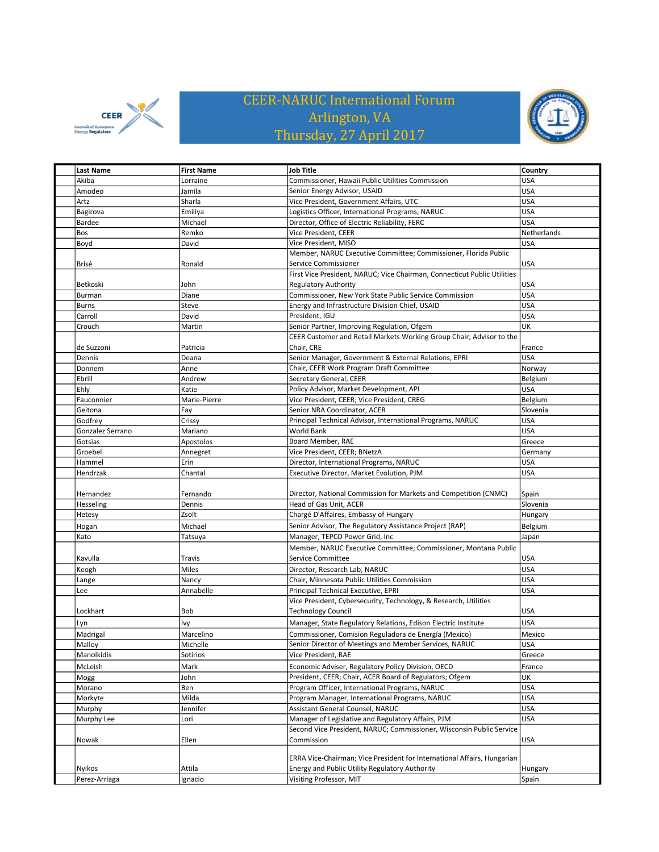

## CEER-NARUC International Forum Arlington, VA Thursday, 27 April 2017



| <b>Last Name</b> | <b>First Name</b> | <b>Job Title</b>                                                         | Country     |
|------------------|-------------------|--------------------------------------------------------------------------|-------------|
| Akiba            | Lorraine          | Commissioner, Hawaii Public Utilities Commission                         | USA         |
| Amodeo           | Jamila            | Senior Energy Advisor, USAID                                             | USA         |
| Artz             | Sharla            | Vice President, Government Affairs, UTC                                  | USA         |
| Bagirova         | Emiliya           | Logistics Officer, International Programs, NARUC                         | USA         |
| Bardee           | Michael           | Director, Office of Electric Reliability, FERC                           | <b>USA</b>  |
| Bos              | Remko             | Vice President, CEER                                                     | Netherlands |
| Boyd             | David             | Vice President, MISO                                                     | <b>USA</b>  |
|                  |                   | Member, NARUC Executive Committee; Commissioner, Florida Public          |             |
| Brisé            | Ronald            | Service Commissioner                                                     | USA         |
|                  |                   | First Vice President, NARUC; Vice Chairman, Connecticut Public Utilities |             |
| Betkoski         | John              | <b>Regulatory Authority</b>                                              | USA         |
| Burman           | Diane             | Commissioner, New York State Public Service Commission                   | <b>USA</b>  |
| <b>Burns</b>     | Steve             | Energy and Infrastructure Division Chief, USAID                          | USA         |
| Carroll          | David             | President, IGU                                                           | <b>USA</b>  |
| Crouch           | Martin            | Senior Partner, Improving Regulation, Ofgem                              | UK          |
|                  |                   | CEER Customer and Retail Markets Working Group Chair; Advisor to the     |             |
| de Suzzoni       | Patricia          | Chair, CRE                                                               | France      |
| Dennis           | Deana             | Senior Manager, Government & External Relations, EPRI                    | USA         |
| Donnem           | Anne              | Chair, CEER Work Program Draft Committee                                 | Norway      |
| Ebrill           | Andrew            | Secretary General, CEER                                                  | Belgium     |
| Ehly             | Katie             | Policy Advisor, Market Development, API                                  | USA         |
| Fauconnier       | Marie-Pierre      | Vice President, CEER; Vice President, CREG                               | Belgium     |
| Geitona          | Fay               | Senior NRA Coordinator, ACER                                             | Slovenia    |
| Godfrey          | Crissy            | Principal Technical Advisor, International Programs, NARUC               | <b>USA</b>  |
| Gonzalez Serrano | Mariano           | World Bank                                                               | USA         |
| Gotsias          | Apostolos         | Board Member, RAE                                                        | Greece      |
| Groebel          | Annegret          | Vice President, CEER; BNetzA                                             | Germany     |
| Hammel           | Erin              | Director, International Programs, NARUC                                  | USA         |
| Hendrzak         | Chantal           | Executive Director, Market Evolution, PJM                                | USA         |
|                  |                   |                                                                          |             |
| Hernandez        | Fernando          | Director, National Commission for Markets and Competition (CNMC)         | Spain       |
| Hesseling        | Dennis            | Head of Gas Unit, ACER                                                   | Slovenia    |
| Hetesy           | Zsolt             | Chargé D'Affaires, Embassy of Hungary                                    | Hungary     |
| Hogan            | Michael           | Senior Advisor, The Regulatory Assistance Project (RAP)                  | Belgium     |
| Kato             | Tatsuya           | Manager, TEPCO Power Grid, Inc                                           | Japan       |
|                  |                   | Member, NARUC Executive Committee; Commissioner, Montana Public          |             |
|                  |                   |                                                                          | USA         |
| Kavulla          | Travis            | Service Committee                                                        |             |
| Keogh            | Miles             | Director, Research Lab, NARUC                                            | USA         |
| Lange            | Nancy             | Chair, Minnesota Public Utilities Commission                             | USA         |
| Lee              | Annabelle         | Principal Technical Executive, EPRI                                      | <b>USA</b>  |
|                  |                   | Vice President, Cybersecurity, Technology, & Research, Utilities         |             |
| Lockhart         | Bob               | <b>Technology Council</b>                                                | USA         |
| Lyn              | Ivy               | Manager, State Regulatory Relations, Edison Electric Institute           | <b>USA</b>  |
| Madrigal         | Marcelino         | Commissioner, Comision Reguladora de Energía (Mexico)                    | Mexico      |
| Malloy           | Michelle          | Senior Director of Meetings and Member Services, NARUC                   | USA         |
| Manolkidis       | Sotirios          | Vice President, RAE                                                      | Greece      |
| McLeish          | Mark              | Economic Adviser, Regulatory Policy Division, OECD                       | France      |
| Mogg             | John              | President, CEER; Chair, ACER Board of Regulators; Ofgem                  | UΚ          |
| Morano           | Ben               | Program Officer, International Programs, NARUC                           | USA         |
| Morkyte          | Milda             | Program Manager, International Programs, NARUC                           | USA         |
| Murphy           | Jennifer          | Assistant General Counsel, NARUC                                         | USA         |
| Murphy Lee       | Lori              | Manager of Legislative and Regulatory Affairs, PJM                       | USA         |
|                  |                   | Second Vice President, NARUC; Commissioner, Wisconsin Public Service     |             |
| Nowak            | Ellen             | Commission                                                               | USA         |
|                  |                   |                                                                          |             |
|                  |                   | ERRA Vice-Chairman; Vice President for International Affairs, Hungarian  |             |
| Nyikos           | Attila            | Energy and Public Utility Regulatory Authority                           | Hungary     |
| Perez-Arriaga    | Ignacio           | Visiting Professor, MIT                                                  | Spain       |